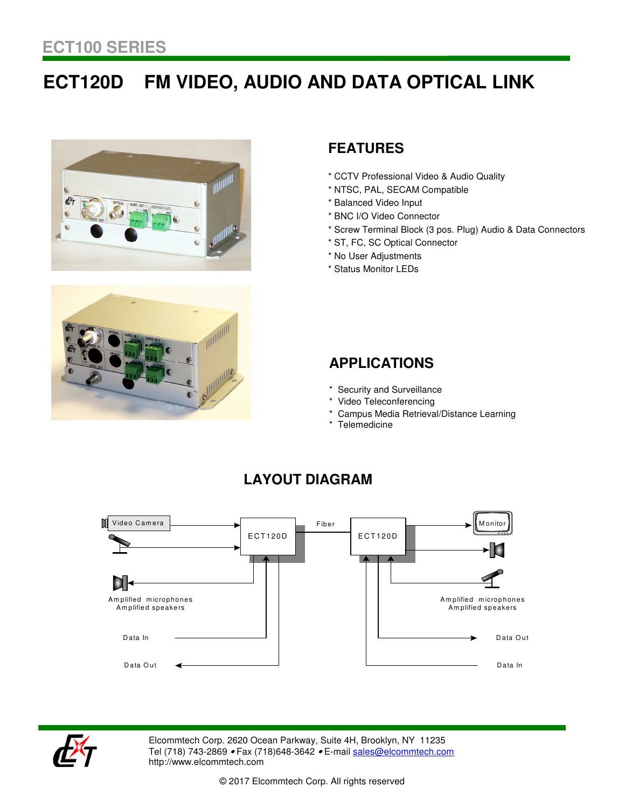# **ECT120D FM VIDEO, AUDIO AND DATA OPTICAL LINK**





# **FEATURES**

- \* CCTV Professional Video & Audio Quality
- \* NTSC, PAL, SECAM Compatible
- \* Balanced Video Input
- \* BNC I/O Video Connector
- \* Screw Terminal Block (3 pos. Plug) Audio & Data Connectors
- \* ST, FC, SC Optical Connector
- \* No User Adjustments
- \* Status Monitor LEDs

### **APPLICATIONS**

- \* Security and Surveillance
- \* Video Teleconferencing
- Campus Media Retrieval/Distance Learning
- \* Telemedicine



## **LAYOUT DIAGRAM**



Elcommtech Corp. 2620 Ocean Parkway, Suite 4H, Brooklyn, NY 11235 Tel (718) 743-2869 • Fax (718) 648-3642 • E-mail sales@elcommtech.com http://www.elcommtech.com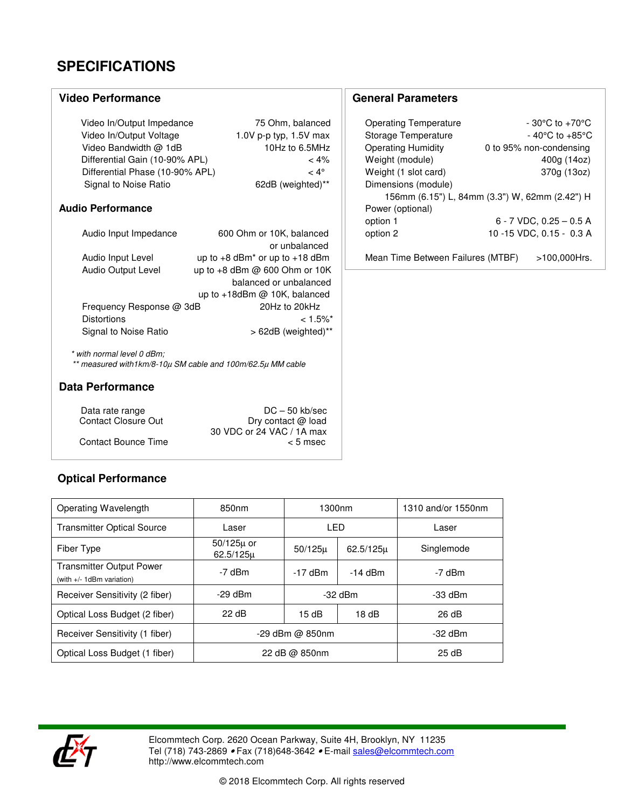# **SPECIFICATIONS**

#### **Video Performance**

| Video In/Output Impedance       | 75 Ohm, balanced         |
|---------------------------------|--------------------------|
| Video In/Output Voltage         | 1.0V p-p typ, $1.5V$ max |
| Video Bandwidth @ 1dB           | 10Hz to 6.5MHz           |
| Differential Gain (10-90% APL)  | $< 4\%$                  |
| Differential Phase (10-90% APL) | $< 4^{\circ}$            |
| Signal to Noise Ratio           | 62dB (weighted)**        |

#### **Audio Performance**

| Audio Input Impedance    | 600 Ohm or 10K, balanced                       |
|--------------------------|------------------------------------------------|
|                          | or unbalanced                                  |
| Audio Input Level        | up to $+8$ dBm <sup>*</sup> or up to $+18$ dBm |
| Audio Output Level       | up to +8 dBm @ 600 Ohm or 10K                  |
|                          | balanced or unbalanced                         |
|                          | up to $+18$ dBm @ 10K, balanced                |
| Frequency Response @ 3dB | 20Hz to 20kHz                                  |
| <b>Distortions</b>       | $< 1.5\%$ <sup>*</sup>                         |
| Signal to Noise Ratio    | > 62dB (weighted)**                            |

 \* with normal level 0 dBm; \*\* measured with1km/8-10µ SM cable and 100m/62.5µ MM cable

#### **Data Performance**

| Data rate range            | $DC - 50$ kb/sec          |
|----------------------------|---------------------------|
| <b>Contact Closure Out</b> | Dry contact @ load        |
|                            | 30 VDC or 24 VAC / 1A max |
| <b>Contact Bounce Time</b> | $< 5$ msec                |

### **Optical Performance**

| Operating Wavelength                                            | 850 <sub>nm</sub>           | 1300nm      |               | 1310 and/or 1550nm |
|-----------------------------------------------------------------|-----------------------------|-------------|---------------|--------------------|
| <b>Transmitter Optical Source</b>                               | Laser                       | LED         |               | Laser              |
| Fiber Type                                                      | $50/125\mu$ or<br>62.5/125u | $50/125\mu$ | $62.5/125\mu$ | Singlemode         |
| <b>Transmitter Output Power</b><br>(with $+/- 1$ dBm variation) | -7 dBm                      | -17 dBm     | $-14$ dBm     | -7 dBm             |
| Receiver Sensitivity (2 fiber)                                  | $-29$ dBm                   | $-32$ dBm   |               | $-33$ dBm          |
| Optical Loss Budget (2 fiber)                                   | 22 dB                       | 15dB        | 18dB          | 26 dB              |
| Receiver Sensitivity (1 fiber)                                  | -29 dBm @ 850nm             |             |               | $-32$ dBm          |
| Optical Loss Budget (1 fiber)                                   | 22 dB $\omega$ 850nm        |             | 25 dB         |                    |



Elcommtech Corp. 2620 Ocean Parkway, Suite 4H, Brooklyn, NY 11235 Tel (718) 743-2869 *•* Fax (718)648-3642 *•* E-mail <u>sales@elcommtech.com</u> http://www.elcommtech.com

**General Parameters**

| Storage Temperature       | $-40^{\circ}$ C to $+85^{\circ}$ C             |
|---------------------------|------------------------------------------------|
| <b>Operating Humidity</b> | 0 to 95% non-condensing                        |
| Weight (module)           | 400g (14oz)                                    |
| Weight (1 slot card)      | 370g (13oz)                                    |
| Dimensions (module)       |                                                |
|                           | 156mm (6.15") L, 84mm (3.3") W, 62mm (2.42") H |
| Power (optional)          |                                                |
| option 1                  | $6 - 7$ VDC, 0.25 $-$ 0.5 A                    |
| option 2                  | 10 -15 VDC, 0.15 - 0.3 A                       |
|                           |                                                |

Operating Temperature - 30°C to +70°C

Mean Time Between Failures (MTBF) >100,000Hrs.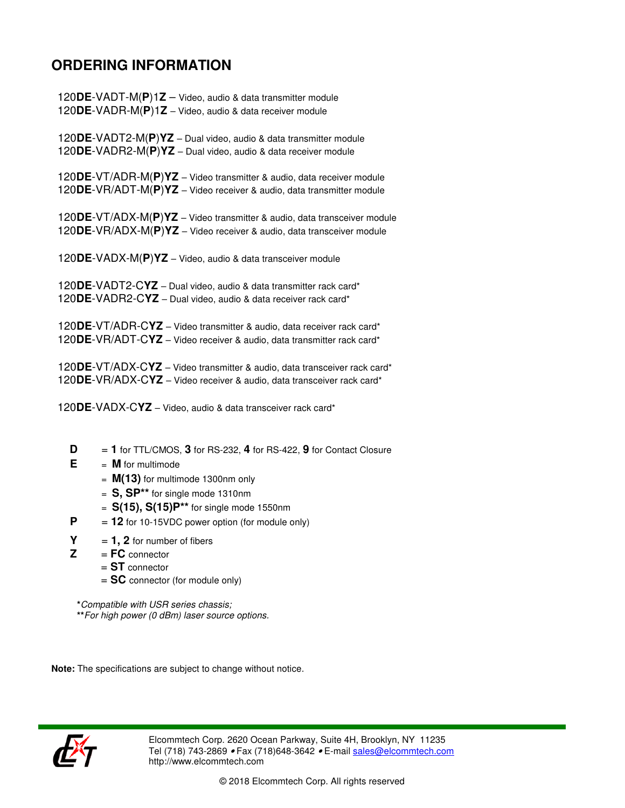# **ORDERING INFORMATION**

 120**DE**-VADT-M(**P**)1**Z** – Video, audio & data transmitter module 120**DE**-VADR-M(**P**)1**Z** – Video, audio & data receiver module

<sup>120</sup>**DE**-VADT2-M(**P**)**YZ** – Dual video, audio & data transmitter module 120**DE**-VADR2-M(**P**)**YZ** – Dual video, audio & data receiver module

 120**DE**-VT/ADR-M(**P**)**YZ** – Video transmitter & audio, data receiver module 120**DE**-VR/ADT-M(**P**)**YZ** – Video receiver & audio, data transmitter module

<sup>120</sup>**DE**-VT/ADX-M(**P**)**YZ** – Video transmitter & audio, data transceiver module 120**DE**-VR/ADX-M(**P**)**YZ** – Video receiver & audio, data transceiver module

<sup>120</sup>**DE**-VADX-M(**P**)**YZ** – Video, audio & data transceiver module

<sup>120</sup>**DE**-VADT2-C**YZ** – Dual video, audio & data transmitter rack card\* 120**DE**-VADR2-C**YZ** – Dual video, audio & data receiver rack card\*

<sup>120</sup>**DE**-VT/ADR-C**YZ** – Video transmitter & audio, data receiver rack card\* 120**DE**-VR/ADT-C**YZ** – Video receiver & audio, data transmitter rack card\*

<sup>120</sup>**DE**-VT/ADX-C**YZ** – Video transmitter & audio, data transceiver rack card\* 120**DE**-VR/ADX-C**YZ** – Video receiver & audio, data transceiver rack card\*

120**DE**-VADX-C**YZ** – Video, audio & data transceiver rack card\*

- $\mathbf{D}$  = **1** for TTL/CMOS, **3** for RS-232, **4** for RS-422, **9** for Contact Closure
- $E = M$  for multimode
	- = **M(13)** for multimode 1300nm only
	- = **S, SP\*\*** for single mode 1310nm
	- = **S(15), S(15)P\*\*** for single mode 1550nm
- $P = 12$  for 10-15VDC power option (for module only)
- $Y = 1, 2$  for number of fibers
- $Z = FC$  connector
	- = **ST** connector
		- = **SC** connector (for module only)

 **\***Compatible with USR series chassis; **\*\***For high power (0 dBm) laser source options.

**Note:** The specifications are subject to change without notice.